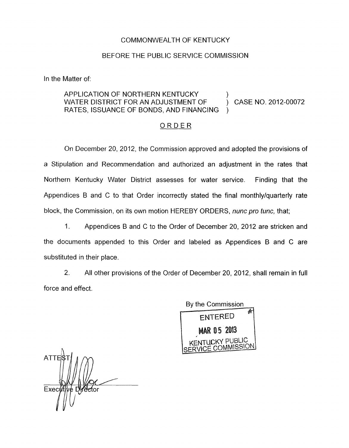#### COMMONWEALTH OF KENTUCKY

#### BEFORE THE PUBLIC SERVICE COMMISSION

In the Matter of:

# APPLICATION OF NORTHERN KENTUCKY  $\overrightarrow{V}$  (ASE NO. 2012-00072) RATES, ISSUANCE OF BONDS, AND FINANCING

## ORDER

On December 20, 2012, the Commission approved and adopted the provisions of a Stipulation and Recommendation and authorized an adjustment in the rates that Northern Kentucky Water District assesses for water service. Finding that the Appendices B and *C* to that Order incorrectly stated the final monthly/quarterly rate block, the Commission, on its own motion HEREBY ORDERS, *nunc pro tunc,* that;

1. Appendices B and C to the Order of December 20, 2012 are stricken and the documents appended to this Order and labeled as Appendices B and C are substituted in their place.

2. All other provisions of the Order of December 20, 2012, shall remain in full force and effect.

By the Commission Α **FNTERED MAR 05 2013** 

**ATTH** Exec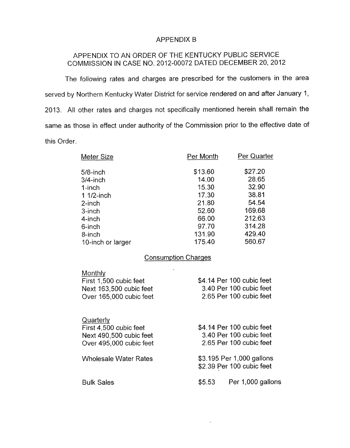## APPENDIX B

# APPENDIX TO AN ORDER OF THE KENTUCKY PUBLIC SERVICE COMMISSION IN CASE NO. 2012-00072 DATED DECEMBER 20,2012

The following rates and charges are prescribed for the customers in the area served by Northern Kentucky Water District for service rendered **on** and after January 1, 2013. All other rates and charges not specifically mentioned herein shall remain the same as those in effect under authority of the Commission prior to the effective date of this Order.

| Per Month | Per Quarter |
|-----------|-------------|
| \$13.60   | \$27.20     |
| 14.00     | 28.65       |
| 15.30     | 32.90       |
| 17.30     | 38.81       |
| 21.80     | 54.54       |
| 52.60     | 169.68      |
| 66.00     | 212.63      |
| 97.70     | 314.28      |
| 131.90    | 429.40      |
| 175.40    | 560.67      |
|           |             |

## Consumption Charges

| Monthly<br>First 1,500 cubic feet<br>Next 163,500 cubic feet<br>Over 165,000 cubic feet   | \$4.14 Per 100 cubic feet<br>3.40 Per 100 cubic feet<br>2.65 Per 100 cubic feet |
|-------------------------------------------------------------------------------------------|---------------------------------------------------------------------------------|
| Quarterly<br>First 4,500 cubic feet<br>Next 490,500 cubic feet<br>Over 495,000 cubic feet | \$4.14 Per 100 cubic feet<br>3.40 Per 100 cubic feet<br>2.65 Per 100 cubic feet |
| <b>Wholesale Water Rates</b>                                                              | \$3.195 Per 1,000 gallons<br>\$2.39 Per 100 cubic feet                          |
| <b>Bulk Sales</b>                                                                         | Per 1,000 gallons<br>\$5.53                                                     |

 $\ddot{\phantom{a}}$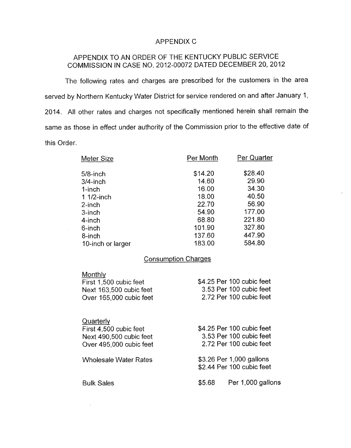## APPENDIX C

## APPENDIX TO AN ORDER OF THE KENTUCKY PUBLIC SERVICE COMMISSION IN CASE **NO.** 2012-00072 DATED DECEMBER 20,2012

The following rates and charges are prescribed for the customers in the area served by Northern Kentucky Water District for service rendered on and after January I , 2014. All other rates and charges not specifically mentioned herein shall remain the same as those in effect under authority of the Commission prior to the effective date of this Order Per Month - Per Quarter

| Meter Size        | Per Month | Per Quarter |
|-------------------|-----------|-------------|
| $5/8$ -inch       | \$14.20   | \$28.40     |
| $3/4$ -inch       | 14.60     | 29.90       |
| $1$ -inch         | 16.00     | 34.30       |
| $11/2$ -inch      | 18.00     | 40.50       |
| $2$ -inch         | 22.70     | 56.90       |
| 3-inch            | 54.90     | 177.00      |
| 4-inch            | 68.80     | 221.80      |
| 6-inch            | 101.90    | 327.80      |
| 8-inch            | 137.60    | 447.90      |
| 10-inch or larger | 183.00    | 584.80      |
|                   |           |             |

### Consumption Charges

| Monthly                      |                             |
|------------------------------|-----------------------------|
| First 1,500 cubic feet       | \$4.25 Per 100 cubic feet   |
| Next 163,500 cubic feet      | 3.53 Per 100 cubic feet     |
| Over 165,000 cubic feet      | 2.72 Per 100 cubic feet     |
| Quarterly                    |                             |
| First 4,500 cubic feet       | \$4.25 Per 100 cubic feet   |
| Next 490,500 cubic feet      | 3.53 Per 100 cubic feet     |
| Over 495,000 cubic feet      | 2.72 Per 100 cubic feet     |
| <b>Wholesale Water Rates</b> | \$3.26 Per 1,000 gallons    |
|                              | \$2.44 Per 100 cubic feet   |
| <b>Bulk Sales</b>            | Per 1,000 gallons<br>\$5.68 |